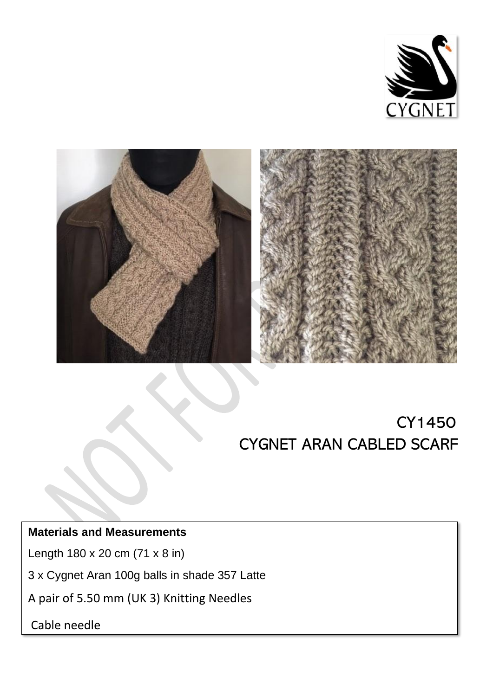



# CY1450 CYGNET ARAN CABLED SCARF

## **Materials and Measurements**

Length 180 x 20 cm (71 x 8 in)

3 x Cygnet Aran 100g balls in shade 357 Latte

A pair of 5.50 mm (UK 3) Knitting Needles

Cable needle